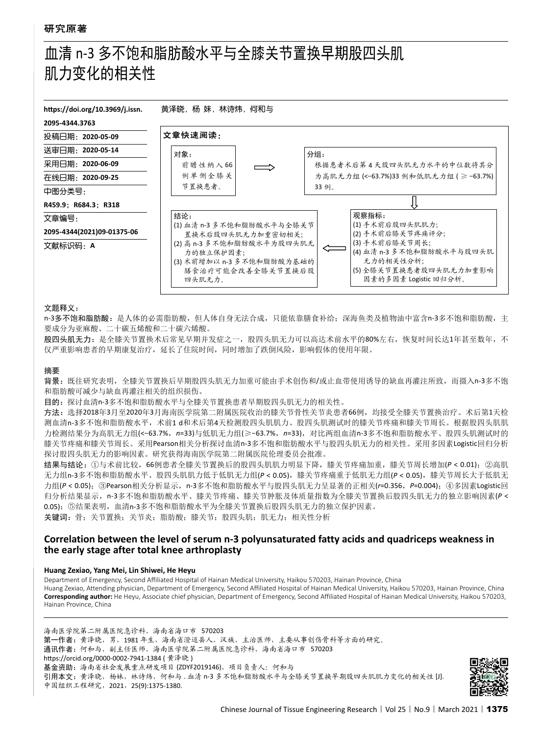# 血清 n-3 多不饱和脂肪酸水平与全膝关节置换早期股四头肌 肌力变化的相关性



#### 文题释义:

n-3多不饱和脂肪酸:是人体的必需脂肪酸,但人体自身无法合成,只能依靠膳食补给;深海鱼类及植物油中富含n-3多不饱和脂肪酸,主 要成分为亚麻酸、二十碳五烯酸和二十碳六烯酸。

股四头肌无力:是全膝关节置换术后常见早期并发症之一,股四头肌无力可以高达术前水平的80%左右,恢复时间长达1年甚至数年,不 仅严重影响患者的早期康复治疗,延长了住院时间,同时增加了跌倒风险,影响假体的使用年限。

#### 摘要

背景: 既往研究表明, 全膝关节置换后早期股四头肌无力加重可能由手术创伤和/或止血带使用诱导的缺血再灌注所致, 而摄入n-3多不饱 和脂肪酸可减少与缺血再灌注相关的组织损伤。

目的:探讨血清n-3多不饱和脂肪酸水平与全膝关节置换患者早期股四头肌无力的相关性。

方法:选择2018年3月至2020年3月海南医学院第二附属医院收治的膝关节骨性关节炎患者66例,均接受全膝关节置换治疗。术后第1天检 测血清n-3多不饱和脂肪酸水平,术前1 d和术后第4天检测股四头肌肌力、股四头肌测试时的膝关节疼痛和膝关节周长。根据股四头肌肌 力检测结果分为高肌无力组(<-63.7%,*n*=33)与低肌无力组(≥-63.7%,*n*=33),对比两组血清n-3多不饱和脂肪酸水平、股四头肌测试时的 膝关节疼痛和膝关节周长。采用Pearson相关分析探讨血清n-3多不饱和脂肪酸水平与股四头肌无力的相关性。采用多因素Logistic回归分析 探讨股四头肌无力的影响因素。研究获得海南医学院第二附属医院伦理委员会批准。

结果与结论:①与术前比较,66例患者全膝关节置换后的股四头肌肌力明显下降,膝关节疼痛加重,膝关节周长增加(*P* < 0.01);②高肌 无力组n-3多不饱和脂肪酸水平、股四头肌肌力低于低肌无力组(P < 0.05), 膝关节疼痛重于低肌无力组(P < 0.05), 膝关节周长大于低肌无 力组(P < 0.05); ③Pearson相关分析显示, n-3多不饱和脂肪酸水平与股四头肌无力呈显著的正相关(r=0.356, P=0.004); ④多因素Logistic回 归分析结果显示,n-3多不饱和脂肪酸水平、膝关节疼痛、膝关节肿胀及体质量指数为全膝关节置换后股四头肌无力的独立影响因素(*P* < 0.05);⑤结果表明,血清n-3多不饱和脂肪酸水平为全膝关节置换后股四头肌无力的独立保护因素。 关键词:骨;关节置换;关节炎;脂肪酸;膝关节;股四头肌;肌无力;相关性分析

#### **Correlation between the level of serum n-3 polyunsaturated fatty acids and quadriceps weakness in the early stage after total knee arthroplasty**

#### **Huang Zexiao, Yang Mei, Lin Shiwei, He Heyu**

Department of Emergency, Second Affiliated Hospital of Hainan Medical University, Haikou 570203, Hainan Province, China Huang Zexiao, Attending physician, Department of Emergency, Second Affiliated Hospital of Hainan Medical University, Haikou 570203, Hainan Province, China **Corresponding author:** He Heyu, Associate chief physician, Department of Emergency, Second Affiliated Hospital of Hainan Medical University, Haikou 570203, Hainan Province, China

海南医学院第二附属医院急诊科,海南省海口市 570203 第一作者: 黄泽晓,男,1981年生,海南省澄迈县人,汉族,主治医师,主要从事创伤骨科等方面的研究。 通讯作者:何和与,副主任医师,海南医学院第二附属医院急诊科,海南省海口市 570203 https://orcid.org/0000-0002-7941-1384 ( 黄泽晓 ) 基金资助: 海南省社会发展重点研发项目 (ZDYF2019146),项目负责人: 何和与 引用本文: 黄泽晓,杨妹,林诗炜,何和与 . 血清 n-3 多不饱和脂肪酸水平与全膝关节置换早期股四头肌肌力变化的相关性 [J]. 中国组织工程研究,2021,25(9):1375-1380.

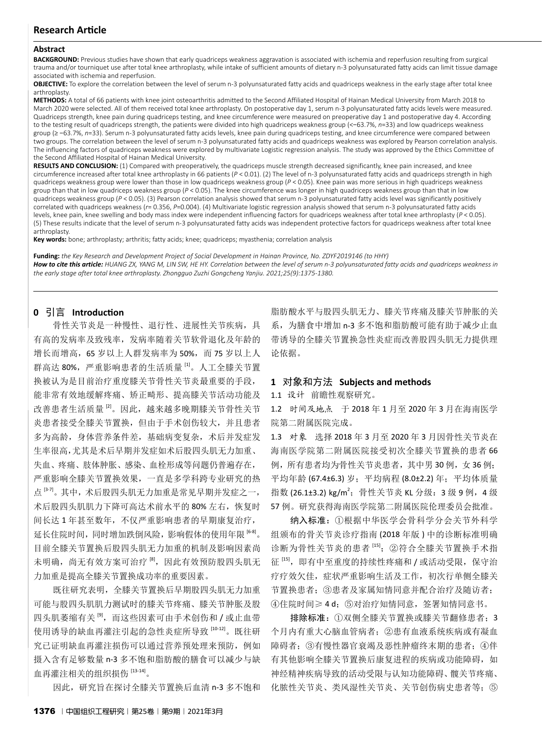## **Research Article**

#### **Abstract**

**BACKGROUND:** Previous studies have shown that early quadriceps weakness aggravation is associated with ischemia and reperfusion resulting from surgical trauma and/or tourniquet use after total knee arthroplasty, while intake of sufficient amounts of dietary n-3 polyunsaturated fatty acids can limit tissue damage associated with ischemia and reperfusion.

**OBJECTIVE:** To explore the correlation between the level of serum n-3 polyunsaturated fatty acids and quadriceps weakness in the early stage after total knee arthroplasty.

**METHODS:** A total of 66 patients with knee joint osteoarthritis admitted to the Second Affiliated Hospital of Hainan Medical University from March 2018 to March 2020 were selected. All of them received total knee arthroplasty. On postoperative day 1, serum n-3 polyunsaturated fatty acids levels were measured. Quadriceps strength, knee pain during quadriceps testing, and knee circumference were measured on preoperative day 1 and postoperative day 4. According to the testing result of quadriceps strength, the patients were divided into high quadriceps weakness group (<-63.7%, *n*=33) and low quadriceps weakness group (≥ -63.7%, *n*=33). Serum n-3 polyunsaturated fatty acids levels, knee pain during quadriceps testing, and knee circumference were compared between two groups. The correlation between the level of serum n-3 polyunsaturated fatty acids and quadriceps weakness was explored by Pearson correlation analysis. The influencing factors of quadriceps weakness were explored by multivariate Logistic regression analysis. The study was approved by the Ethics Committee of the Second Affiliated Hospital of Hainan Medical University.

RESULTS AND CONCLUSION: (1) Compared with preoperatively, the quadriceps muscle strength decreased significantly, knee pain increased, and knee circumference increased after total knee arthroplasty in 66 patients (*P* < 0.01). (2) The level of n-3 polyunsaturated fatty acids and quadriceps strength in high quadriceps weakness group were lower than those in low quadriceps weakness group (*P* < 0.05). Knee pain was more serious in high quadriceps weakness group than that in low quadriceps weakness group (*P* < 0.05). The knee circumference was longer in high quadriceps weakness group than that in low quadriceps weakness group ( $P < 0.05$ ). (3) Pearson correlation analysis showed that serum n-3 polyunsaturated fatty acids level was significantly positively correlated with quadriceps weakness ( $r= 0.356$ ,  $P=0.004$ ). (4) Multivariate logistic regression analysis showed that serum n-3 polyunsaturated fatty acids levels, knee pain, knee swelling and body mass index were independent influencing factors for quadriceps weakness after total knee arthroplasty (*P* < 0.05). (5) These results indicate that the level of serum n-3 polyunsaturated fatty acids was independent protective factors for quadriceps weakness after total knee arthroplasty.

**Key words:** bone; arthroplasty; arthritis; fatty acids; knee; quadriceps; myasthenia; correlation analysis

**Funding:** *the Key Research and Development Project of Social Development in Hainan Province, No. ZDYF2019146 (to HHY)*  How to cite this article: *HUANG ZX, YANG M, LIN SW, HE HY. Correlation between the level of serum n-3 polyunsaturated fatty acids and quadriceps weakness in the early stage after total knee arthroplasty. Zhongguo Zuzhi Gongcheng Yanjiu. 2021;25(9):1375-1380.* 

## **0** 引言 **Introduction**

骨性关节炎是一种慢性、退行性、进展性关节疾病,具 有高的发病率及致残率,发病率随着关节软骨退化及年龄的 增长而增高, 65 岁以上人群发病率为 50%, 而 75 岁以上人 群高达 80%,严重影响患者的生活质量 [1]。人工全膝关节置 换被认为是目前治疗重度膝关节骨性关节炎最重要的手段, 能非常有效地缓解疼痛、矫正畸形、提高膝关节活动功能及 改善患者生活质量<sup>[2]</sup>。因此,越来越多晚期膝关节骨性关节 炎患者接受全膝关节置换,但由于手术创伤较大,并且患者 多为高龄,身体营养条件差,基础病变复杂,术后并发症发 生率很高,尤其是术后早期并发症如术后股四头肌无力加重、 失血、疼痛、肢体肿胀、感染、血栓形成等问题仍普遍存在, 严重影响全膝关节置换效果,一直是多学科跨专业研究的热 点 <sup>[3-7]</sup>。其中,术后股四头肌无力加重是常见早期并发症之一, 术后股四头肌肌力下降可高达术前水平的 80% 左右,恢复时 间长达 1 年甚至数年,不仅严重影响患者的早期康复治疗, 延长住院时间,同时增加跌倒风险,影响假体的使用年限 [6-8]。 目前全膝关节置换后股四头肌无力加重的机制及影响因素尚 未明确,尚无有效方案可治疗<sup>[8]</sup>,因此有效预防股四头肌无 力加重是提高全膝关节置换成功率的重要因素。

既往研究表明,全膝关节置换后早期股四头肌无力加重 可能与股四头肌肌力测试时的膝关节疼痛、膝关节肿胀及股 四头肌萎缩有关<sup>[9]</sup>,而这些因素可由手术创伤和 / 或止血带 使用诱导的缺血再灌注引起的急性炎症所导致 [10-12]。既往研 究已证明缺血再灌注损伤可以通过营养预处理来预防,例如 摄入含有足够数量 n-3 多不饱和脂肪酸的膳食可以减少与缺 血再灌注相关的组织损伤 [13-14]。

脂肪酸水平与股四头肌无力、膝关节疼痛及膝关节肿胀的关 系,为膳食中增加 n-3 多不饱和脂肪酸可能有助于减少止血 带诱导的全膝关节置换急性炎症而改善股四头肌无力提供理 论依据。

#### **1** 对象和方法 **Subjects and methods**

1.1 设计 前瞻性观察研究。

1.2 时间及地点 于 2018 年 1 月至 2020 年 3 月在海南医学 院第二附属医院完成。

1.3 对象 选择 2018 年 3 月至 2020 年 3 月因骨性关节炎在 海南医学院第二附属医院接受初次全膝关节置换的患者 66 例,所有患者均为骨性关节炎患者,其中男30例,女36例; 平均年龄 (67.4±6.3) 岁; 平均病程 (8.0±2.2) 年; 平均体质量 指数 (26.1±3.2) kg/m<sup>2</sup>; 骨性关节炎 KL 分级: 3 级 9 例, 4 级 57 例。研究获得海南医学院第二附属医院伦理委员会批准。

纳入标准:①根据中华医学会骨科学分会关节外科学 组颁布的骨关节炎诊疗指南 (2018 年版 ) 中的诊断标准明确 诊断为骨性关节炎的患者 [15];②符合全膝关节置换手术指 征[15], 即有中至重度的持续性疼痛和 / 或活动受限, 保守治 疗疗效欠佳,症状严重影响生活及工作,初次行单侧全膝关 节置换患者;③患者及家属知情同意并配合治疗及随访者; ④住院时间≥ 4 d;⑤对治疗知情同意,签署知情同意书。

因此,研究旨在探讨全膝关节置换后血清 n-3 多不饱和 化脓性关节炎、类风湿性关节炎、关节创伤病史患者等;⑤ 排除标准:①双侧全膝关节置换或膝关节翻修患者;3 个月内有重大心脑血管病者;②患有血液系统疾病或有凝血 障碍者;③有慢性器官衰竭及恶性肿瘤终末期的患者;④伴 有其他影响全膝关节置换后康复进程的疾病或功能障碍, 如 神经精神疾病导致的活动受限与认知功能障碍、髋关节疼痛、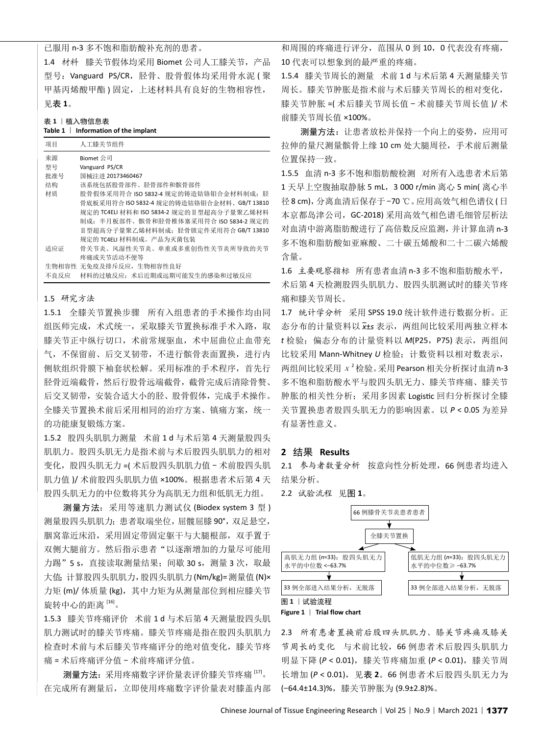#### 已服用 n-3 多不饱和脂肪酸补充剂的患者。

1.4 材料 膝关节假体均采用 Biomet 公司人工膝关节, 产品 型号: Vanguard PS/CR, 胫骨、股骨假体均采用骨水泥 ( 聚 甲基丙烯酸甲酯 ) 固定,上述材料具有良好的生物相容性, 见表 **1**。

#### 表 **1** |植入物信息表 **Table 1** | **Information of the implant**

| 项目   | 人工膝关节组件                                      |
|------|----------------------------------------------|
| 来源   | Biomet 公司                                    |
| 型号   | Vanguard PS/CR                               |
| 批准号  | 国械注讲 20173460467                             |
| 结构   | 该系统包括股骨部件、胫骨部件和髌骨部件                          |
| 材质   | 股骨假体采用符合 ISO 5832-4 规定的铸造钴铬钼合金材料制成:胫         |
|      | 骨底板采用符合 ISO 5832-4 规定的铸造钴铬钼合金材料、GB/T 13810   |
|      | 规定的 TC4ELI 材料和 ISO 5834-2 规定的 II 型超高分子量聚乙烯材料 |
|      | 制成: 半月板部件、髌骨和胫骨椎体塞采用符合 ISO 5834-2 规定的        |
|      | Ⅱ型超高分子量聚乙烯材料制成: 胫骨锁定件采用符合 GB/T 13810         |
|      | 规定的 TC4ELI 材料制成。产品为灭菌包装                      |
| 适应证  | 骨关节炎、风湿性关节炎、单重或多重创伤性关节炎所导致的关节                |
|      | 疼痛或关节活动不便等                                   |
|      | 生物相容性 无免疫及排斥反应,生物相容性良好                       |
| 不良反应 | 材料的过敏反应; 术后近期或远期可能发生的感染和过敏反应                 |

1.5 研究方法

1.5.1 全膝关节置换步骤 所有入组患者的手术操作均由同 组医师完成,术式统一,采取膝关节置换标准手术入路,取 膝关节正中纵行切口,术前常规驱血,术中屈曲位止血带充 气,不保留前、后交叉韧带,不进行髌骨表面置换,进行内 侧软组织骨膜下袖套状松解。采用标准的手术程序,首先行 胫骨近端截骨,然后行股骨远端截骨,截骨完成后清除骨赘、 后交叉韧带,安装合适大小的胫、股骨假体,完成手术操作。 全膝关节置换术前后采用相同的治疗方案、镇痛方案,统一 的功能康复锻炼方案。

1.5.2 股四头肌肌力测量 术前 1 d 与术后第 4 天测量股四头 肌肌力。股四头肌无力是指术前与术后股四头肌肌力的相对 变化,股四头肌无力 =( 术后股四头肌肌力值 - 术前股四头肌 肌力值 )/ 术前股四头肌肌力值 ×100%。根据患者术后第 4 天 股四头肌无力的中位数将其分为高肌无力组和低肌无力组。

测量方法:采用等速肌力测试仪 (Biodex system 3 型 ) 测量股四头肌肌力;患者取端坐位,屈髋屈膝 90°,双足悬空, 胭窝靠近床沿,采用固定带固定躯干与大腿根部,双手置于 双侧大腿前方。然后指示患者"以逐渐增加的力量尽可能用 力踢"5 s, 直接读取测量结果; 间歇 30 s, 测量 3 次, 取最 大值;计算股四头肌肌力,股四头肌肌力(Nm/kg)=测量值(N)× 力矩 (m)/ 体质量 (kg), 其中力矩为从测量部位到相应膝关节 旋转中心的距离 [16]。

1.5.3 膝关节疼痛评价 术前 1 d 与术后第 4 天测量股四头肌 肌力测试时的膝关节疼痛。膝关节疼痛是指在股四头肌肌力 检查时术前与术后膝关节疼痛评分的绝对值变化,膝关节疼 痛 = 术后疼痛评分值 - 术前疼痛评分值。

测量方法:采用疼痛数字评价量表评价膝关节疼痛 [17]。 在完成所有测量后,立即使用疼痛数字评价量表对膝盖内部

和周围的疼痛进行评分,范围从 0 到 10, 0 代表没有疼痛, 10 代表可以想象到的最严重的疼痛。

1.5.4 膝关节周长的测量 术前 1 d 与术后第 4 天测量膝关节 周长。膝关节肿胀是指术前与术后膝关节周长的相对变化, 膝关节肿胀 =( 术后膝关节周长值 - 术前膝关节周长值 )/ 术 前膝关节周长值 ×100%。

测量方法:让患者放松并保持一个向上的姿势,应用可 拉伸的量尺测量髌骨上缘 10 cm 处大腿周径,手术前后测量 位置保持一致。

1.5.5 血清 n-3 多不饱和脂肪酸检测 对所有入选患者术后第 1 天早上空腹抽取静脉 5 mL, 3 000 r/min 离心 5 min(离心半 径8 cm),分离血清后保存于-70 ℃。应用高效气相色谱仪(日 本京都岛津公司,GC-2018) 采用高效气相色谱毛细管层析法 对血清中游离脂肪酸进行了高倍数反应监测,并计算血清 n-3 多不饱和脂肪酸如亚麻酸、二十碳五烯酸和二十二碳六烯酸 含量。

1.6 主要观察指标 所有患者血清n-3多不饱和脂肪酸水平, 术后第 4 天检测股四头肌肌力、股四头肌测试时的膝关节疼 痛和膝关节周长。

1.7 统计学分析 采用 SPSS 19.0 统计软件进行数据分析。正 1.1 统计字分析 米用 SPSS 19.0 统计软件进行致据分析。止<br>态分布的计量资料以 *x̄±s* 表示,两组间比较采用两独立样本 *t* 检验;偏态分布的计量资料以 *M*(P25,P75) 表示,两组间 比较采用 Mann-Whitney U 检验; 计数资料以相对数表示,

两组间比较采用 $x^2$ 检验。采用 Pearson 相关分析探讨血清 n-3 多不饱和脂肪酸水平与股四头肌无力、膝关节疼痛、膝关节 肿胀的相关性分析;采用多因素 Logistic 回归分析探讨全膝 关节置换患者股四头肌无力的影响因素。以 *P* < 0.05 为差异 有显著性意义。

#### **2** 结果 **Results**

2.1 参与者数量分析 按意向性分析处理,66 例患者均进入 结果分析。

2.2 试验流程 见图 **1**。



**Figure 1** | **Trial flow chart**

2.3 所有患者置换前后股四头肌肌力、膝关节疼痛及膝关 节周长的变化 与术前比较,66 例患者术后股四头肌肌力 明显下降 (P < 0.01), 膝关节疼痛加重 (P < 0.01), 膝关节周 长增加 (*P* < 0.01),见表 **2**。66 例患者术后股四头肌无力为 (-64.4±14.3)%,膝关节肿胀为 (9.9±2.8)%。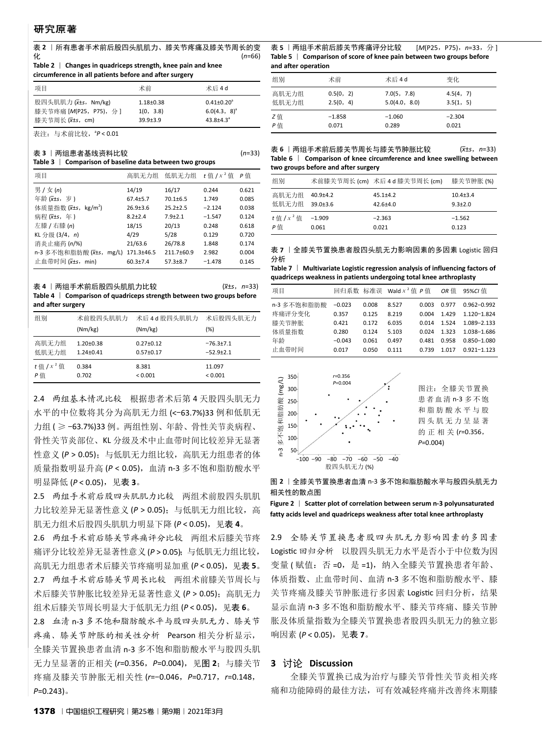#### 表 **2** |所有患者手术前后股四头肌肌力、膝关节疼痛及膝关节周长的变 化 (*n*=66)

| Table 2   Changes in quadriceps strength, knee pain and knee |
|--------------------------------------------------------------|
| circumference in all patients before and after surgery       |

| 项目                              | 术前            | 术后 4 d                       |
|---------------------------------|---------------|------------------------------|
| 股四头肌肌力 (x <sup>+s, Nm/kg)</sup> | $1.18 + 0.38$ | $0.41 \pm 0.20$ <sup>a</sup> |
| 膝关节疼痛 [M(P25, P75), 分 ]         | 1(0, 3.8)     | $6.0(4.3, 8)^{3}$            |
| 膝关节周长 (x <sup>+s, cm)</sup>     | $39.9 + 3.9$  | $43.8{\pm}4.3^a$             |

表注: 与术前比较, <sup>a</sup>P<0.01

表 **3** |两组患者基线资料比较 (*n*=33) **Table 3** | **Comparison of baseline data between two groups**

| 项目                                          | 高肌无力组          | 低肌无力组          | t 值 $1x^2$ 值 | P信    |
|---------------------------------------------|----------------|----------------|--------------|-------|
| 男 / 女 (n)                                   | 14/19          | 16/17          | 0.244        | 0.621 |
| 年龄 (x <sup>+</sup> s, 岁)                    | $67.4 + 5.7$   | $70.1 + 6.5$   | 1.749        | 0.085 |
| 体质量指数 (x <sup>+s,</sup> kg/m <sup>2</sup> ) | $26.9 + 3.6$   | $25.2 + 2.5$   | $-2.124$     | 0.038 |
| 病程 (x <sup>+</sup> s, 年)                    | $8.2 + 2.4$    | $7.9 + 2.1$    | $-1.547$     | 0.124 |
| 左膝 / 右膝 (n)                                 | 18/15          | 20/13          | 0.248        | 0.618 |
| KL 分级 (3/4,n)                               | 4/29           | 5/28           | 0.129        | 0.720 |
| 消炎止痛药 (n/%)                                 | 21/63.6        | 26/78.8        | 1.848        | 0.174 |
| n-3 多不饱和脂肪酸 (x±s,<br>$mg/L$ )               | 171.3±46.5     | 211.7±60.9     | 2.982        | 0.004 |
| 止血带时间 (x <sup>+</sup> ts, min)              | $60.3{\pm}7.4$ | $57.3 \pm 8.7$ | $-1.478$     | 0.145 |

表 4 | 两组手术前后股四头肌肌力比较 *-* ±*s*,*n*=33) **Table 4** | **Comparison of quadriceps strength between two groups before and after surgery**

| 组别           | 术前股四头肌肌力        | 术后 4 d 股四头肌肌力   | 术后股四头肌无力        |
|--------------|-----------------|-----------------|-----------------|
|              | (Nm/kg)         | (Nm/kg)         | (%)             |
| 高肌无力组        | $1.20 \pm 0.38$ | $0.27 + 0.12$   | $-76.3 \pm 7.1$ |
| 低肌无力组        | $1.24 + 0.41$   | $0.57 \pm 0.17$ | $-52.9+2.1$     |
| t 值 $/x^2$ 值 | 0.384           | 8.381           | 11.097          |
| P信           | 0.702           | < 0.001         | < 0.001         |

2.4 两组基本情况比较 根据患者术后第 4 天股四头肌无力 水平的中位数将其分为高肌无力组 (<-63.7%)33 例和低肌无 力组 ( ≥ -63.7%)33 例。两组性别、年龄、骨性关节炎病程、 骨性关节炎部位、KL 分级及术中止血带时间比较差异无显著 性意义 (P > 0.05); 与低肌无力组比较, 高肌无力组患者的体 质量指数明显升高 (*P* < 0.05),血清 n-3 多不饱和脂肪酸水平 明显降低 (P < 0.05), 见表 3。

2.5 两组手术前后股四头肌肌力比较 两组术前股四头肌肌 力比较差异无显著性意义 (P > 0.05); 与低肌无力组比较, 高 肌无力组术后股四头肌肌力明显下降 (*P* < 0.05),见表 **4**。

2.6 两组手术前后膝关节疼痛评分比较 两组术后膝关节疼 痛评分比较差异无显著性意义 (P > 0.05); 与低肌无力组比较, 高肌无力组患者术后膝关节疼痛明显加重 (*P* < 0.05),见表 **5**。 2.7 两组手术前后膝关节周长比较 两组术前膝关节周长与 术后膝关节肿胀比较差异无显著性意义 (P > 0.05); 高肌无力 组术后膝关节周长明显大于低肌无力组 (*P* < 0.05),见表 **6**。

2.8 血清 n-3 多不饱和脂肪酸水平与股四头肌无力、膝关节 疼痛、膝关节肿胀的相关性分析 Pearson 相关分析显示, 全膝关节置换患者血清 n-3 多不饱和脂肪酸水平与股四头肌 无力呈显著的正相关 (*r*=0.356,*P*=0.004),见图 **2**;与膝关节 疼痛及膝关节肿胀无相关性 (*r*=-0.046,*P*=0.717,*r*=0.148, *P*=0.243)。

表 **5** |两组手术前后膝关节疼痛评分比较 [*M*(P25,P75),*n*=33,分 ] **Table 5** | **Comparison of score of knee pain between two groups before and after operation**

| 组别    | 术前        | 术后 4 d        | 变化        |
|-------|-----------|---------------|-----------|
| 高肌无力组 | 0.5(0, 2) | 7.0(5, 7.8)   | 4.5(4, 7) |
| 低肌无力组 | 2.5(0, 4) | 5.0(4.0, 8.0) | 3.5(1, 5) |
| Z值    | $-1.858$  | $-1.060$      | $-2.304$  |
| Ρ值    | 0.071     | 0.289         | 0.021     |

#### 表 6 | 两组手术前后膝关节周长与膝关节肿胀比较 *-* ±*s*,*n*=33) **Table 6** | **Comparison of knee circumference and knee swelling between two groups before and after surgery**

| 组别            |              | 术前膝关节周长 (cm) 术后 4 d 膝关节周长 (cm) | 膝关节肿胀(%)     |
|---------------|--------------|--------------------------------|--------------|
| 高肌无力组         | $40.9 + 4.2$ | $45.1 + 4.2$                   | $10.4 + 3.4$ |
| 低肌无力组         | $39.0 + 3.6$ | $42.6 + 4.0$                   | $9.3 + 2.0$  |
| t 值 / $x^2$ 值 | $-1.909$     | $-2.363$                       | $-1.562$     |
| P値            | 0.061        | 0.021                          | 0.123        |

表 **7** |全膝关节置换患者股四头肌无力影响因素的多因素 Logistic 回归 分析

**Table 7** | **Multivariate Logistic regression analysis of influencing factors of quadriceps weakness in patients undergoing total knee arthroplasty**

| 项目          | 回归系数 标准误 |       | Wald $x^2$ 值 $P$ 值 |       | OR 值  | 95%Cl 值         |
|-------------|----------|-------|--------------------|-------|-------|-----------------|
| n-3 多不饱和脂肪酸 | $-0.023$ | 0.008 | 8.527              | 0.003 | 0.977 | $0.962 - 0.992$ |
| 疼痛评分变化      | 0.357    | 0.125 | 8.219              | 0.004 | 1.429 | 1.120-1.824     |
| 膝关节肿胀       | 0.421    | 0.172 | 6.035              | 0.014 | 1.524 | 1.089-2.133     |
| 体质量指数       | 0.280    | 0.124 | 5.103              | 0.024 | 1.323 | 1.038-1.686     |
| 年龄          | $-0.043$ | 0.061 | 0.497              | 0.481 | 0.958 | $0.850 - 1.080$ |
| 止血带时间       | 0.017    | 0.050 | 0.111              | 0.739 | 1.017 | $0.921 - 1.123$ |



图 **2** |全膝关节置换患者血清 n-3 多不饱和脂肪酸水平与股四头肌无力 相关性的散点图

**Figure 2** | **Scatter plot of correlation between serum n-3 polyunsaturated fatty acids level and quadriceps weakness after total knee arthroplasty**

2.9 全膝关节置换患者股四头肌无力影响因素的多因素 Logistic 回归分析 以股四头肌无力水平是否小于中位数为因 变量 ( 赋值: 否 =0, 是 =1), 纳入全膝关节置换患者年龄、 体质指数、止血带时间、血清 n-3 多不饱和脂肪酸水平、膝 关节疼痛及膝关节肿胀进行多因素 Logistic 回归分析, 结果 显示血清 n-3 多不饱和脂肪酸水平、膝关节疼痛、膝关节肿 胀及体质量指数为全膝关节置换患者股四头肌无力的独立影 响因素 (P < 0.05), 见**表 7**。

# **3** 讨论 **Discussion**

全膝关节置换已成为治疗与膝关节骨性关节炎相关疼 痛和功能障碍的最佳方法,可有效减轻疼痛并改善终末期膝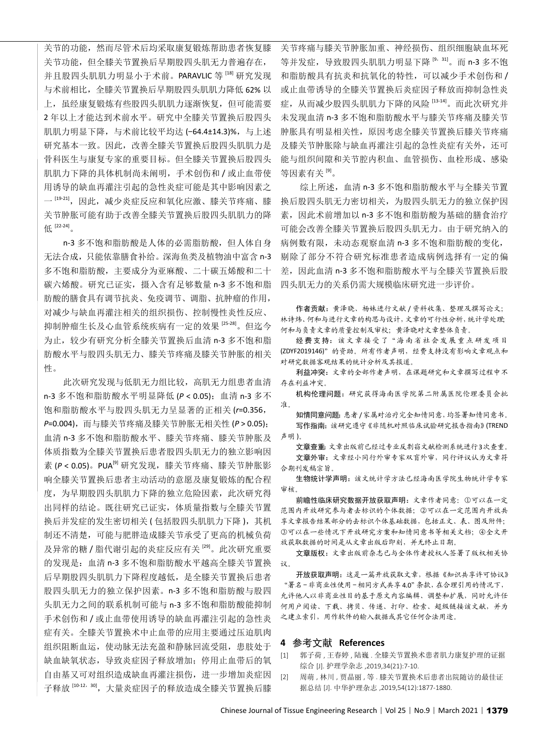关节的功能,然而尽管术后均采取康复锻炼帮助患者恢复膝 关节功能,但全膝关节置换后早期股四头肌无力普遍存在, 并且股四头肌肌力明显小于术前。PARAVLIC 等 [18] 研究发现 与术前相比,全膝关节置换后早期股四头肌肌力降低 62% 以 上,虽经康复锻炼有些股四头肌肌力逐渐恢复,但可能需要 2 年以上才能达到术前水平。研究中全膝关节置换后股四头 肌肌力明显下降,与术前比较平均达 (-64.4±14.3)%,与上述 研究基本一致。因此,改善全膝关节置换后股四头肌肌力是 骨科医生与康复专家的重要目标。但全膝关节置换后股四头 肌肌力下降的具体机制尚未阐明,手术创伤和 / 或止血带使 用诱导的缺血再灌注引起的急性炎症可能是其中影响因素之 一<sup>[19-21]</sup>,因此,减少炎症反应和氧化应激、膝关节疼痛、膝 关节肿胀可能有助于改善全膝关节置换后股四头肌肌力的降 低 [22-24]

n-3 多不饱和脂肪酸是人体的必需脂肪酸,但人体自身 无法合成,只能依靠膳食补给。深海鱼类及植物油中富含 n-3 多不饱和脂肪酸,主要成分为亚麻酸、二十碳五烯酸和二十 碳六烯酸。研究已证实,摄入含有足够数量 n-3 多不饱和脂 肪酸的膳食具有调节抗炎、免疫调节、调脂、抗肿瘤的作用, 对减少与缺血再灌注相关的组织损伤、控制慢性炎性反应、 抑制肿瘤生长及心血管系统疾病有一定的效果 [25-28]。但迄今 为止,较少有研究分析全膝关节置换后血清 n-3 多不饱和脂 肪酸水平与股四头肌无力、膝关节疼痛及膝关节肿胀的相关 性。

此次研究发现与低肌无力组比较,高肌无力组患者血清 n-3 多不饱和脂肪酸水平明显降低 (*P* < 0.05);血清 n-3 多不 饱和脂肪酸水平与股四头肌无力呈显著的正相关 (*r*=0.356, *P*=0.004),而与膝关节疼痛及膝关节肿胀无相关性 (*P* > 0.05); 血清 n-3 多不饱和脂肪酸水平、膝关节疼痛、膝关节肿胀及 体质指数为全膝关节置换后患者股四头肌无力的独立影响因 素 (P < 0.05)。PUA<sup>[9]</sup> 研究发现, 膝关节疼痛、膝关节肿胀影 响全膝关节置换后患者主动活动的意愿及康复锻炼的配合程 度,为早期股四头肌肌力下降的独立危险因素,此次研究得 出同样的结论。既往研究已证实,体质量指数与全膝关节置 换后并发症的发生密切相关 ( 包括股四头肌肌力下降 ), 其机 制还不清楚,可能与肥胖造成膝关节承受了更高的机械负荷 及异常的糖/脂代谢引起的炎症反应有关 [29]。此次研究重要 的发现是:血清 n-3 多不饱和脂肪酸水平越高全膝关节置换 后早期股四头肌肌力下降程度越低,是全膝关节置换后患者 股四头肌无力的独立保护因素。n-3 多不饱和脂肪酸与股四 头肌无力之间的联系机制可能与 n-3 多不饱和脂肪酸能抑制 手术创伤和 / 或止血带使用诱导的缺血再灌注引起的急性炎 症有关。全膝关节置换术中止血带的应用主要通过压迫肌肉 组织阻断血运, 使动脉无法充盈和静脉回流受阻, 患肢处于 缺血缺氧状态,导致炎症因子释放增加;停用止血带后的氧 自由基又可对组织造成缺血再灌注损伤,进一步增加炎症因 子释放 [10-12, 30], 大量炎症因子的释放造成全膝关节置换后膝

关节疼痛与膝关节肿胀加重、神经损伤、组织细胞缺血坏死 等并发症,导致股四头肌肌力明显下降 [9, 31]。而 n-3 多不饱 和脂肪酸具有抗炎和抗氧化的特性,可以减少手术创伤和 / 或止血带诱导的全膝关节置换后炎症因子释放而抑制急性炎 症,从而减少股四头肌肌力下降的风险 [13-14]。而此次研究并 未发现血清 n-3 多不饱和脂肪酸水平与膝关节疼痛及膝关节 肿胀具有明显相关性,原因考虑全膝关节置换后膝关节疼痛 及膝关节肿胀除与缺血再灌注引起的急性炎症有关外,还可 能与组织间隙和关节腔内积血、血管损伤、血栓形成、感染 等因素有关 [9]。

综上所述,血清 n-3 多不饱和脂肪酸水平与全膝关节置 换后股四头肌无力密切相关,为股四头肌无力的独立保护因 素,因此术前增加以 n-3 多不饱和脂肪酸为基础的膳食治疗 可能会改善全膝关节置换后股四头肌无力。由于研究纳入的 病例数有限,未动态观察血清 n-3 多不饱和脂肪酸的变化, 剔除了部分不符合研究标准患者造成病例选择有一定的偏 差,因此血清 n-3 多不饱和脂肪酸水平与全膝关节置换后股 四头肌无力的关系仍需大规模临床研究进一步评价。

作者贡献:黄泽晓、杨妹进行文献 / 资料收集、整理及撰写论文; 林诗炜、何和与进行文章的构思与设计,文章的可行性分析,统计学处理; 何和与负责文章的质量控制及审校;黄泽晓对文章整体负责。

经费支持: 该文章接受了"海南省社会发展重点研发项目 (ZDYF2019146)"的资助。所有作者声明,经费支持没有影响文章观点和 对研究数据客观结果的统计分析及其报道。

利益冲突:文章的全部作者声明,在课题研究和文章撰写过程中不 存在利益冲突。

机构伦理问题:研究获得海南医学院第二附属医院伦理委员会批 准。

知情同意问题:患者/家属对治疗完全知情同意,均签署知情同意书。 写作指南:该研究遵守《非随机对照临床试验研究报告指南》(TREND 声明 )。

文章查重:文章出版前已经过专业反剽窃文献检测系统进行3次查重。 文章外审:文章经小同行外审专家双盲外审,同行评议认为文章符 合期刊发稿宗旨。

生物统计学声明:该文统计学方法已经海南医学院生物统计学专家 审核。

前瞻性临床研究数据开放获取声明:文章作者同意:①可以在一定 范围内开放研究参与者去标识的个体数据;②可以在一定范围内开放共 享文章报告结果部分的去标识个体基础数据,包括正文、表、图及附件; ③可以在一些情况下开放研究方案和知情同意书等相关文档;④全文开 放获取数据的时间是从文章出版后即刻,并无终止日期。

文章版权:文章出版前杂志已与全体作者授权人签署了版权相关协 议。

开放获取声明:这是一篇开放获取文章,根据《知识共享许可协议》 "署名 - 非商业性使用 - 相同方式共享 4.0"条款,在合理引用的情况下, 允许他人以非商业性目的基于原文内容编辑、调整和扩展,同时允许任 何用户阅读、下载、拷贝、传递、打印、检索、超级链接该文献,并为 之建立索引,用作软件的输入数据或其它任何合法用途。

#### **4** 参考文献 **References**

- [1] 郭子荷 , 王春婷 , 陆巍 . 全膝关节置换术患者肌力康复护理的证据 综合 [J]. 护理学杂志 ,2019,34(21):7-10.
- [2] 周萌 , 林川 , 贾晶丽 , 等 . 膝关节置换术后患者出院随访的最佳证 据总结 [J]. 中华护理杂志 ,2019,54(12):1877-1880.